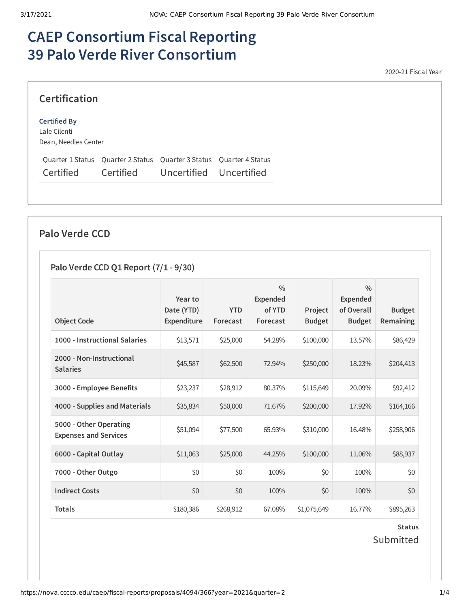# **CAEP Consortium Fiscal Reporting 39 Palo Verde River Consortium**

2020-21 Fiscal Year

## **Certification**

#### **Certified By**

Lale Cilenti Dean, Needles Center

|           |                  | Quarter 1 Status Quarter 2 Status Quarter 3 Status Quarter 4 Status |  |
|-----------|------------------|---------------------------------------------------------------------|--|
| Certified | <b>Certified</b> | Uncertified Uncertified                                             |  |

## **Palo Verde CCD**

## **Palo Verde CCD Q1 Report (7/1 - 9/30)**

|                                                        | Year to                   |                        | $\frac{0}{0}$<br><b>Expended</b> |                          | $\frac{0}{0}$<br>Expended   |                                   |
|--------------------------------------------------------|---------------------------|------------------------|----------------------------------|--------------------------|-----------------------------|-----------------------------------|
| <b>Object Code</b>                                     | Date (YTD)<br>Expenditure | <b>YTD</b><br>Forecast | of YTD<br>Forecast               | Project<br><b>Budget</b> | of Overall<br><b>Budget</b> | <b>Budget</b><br><b>Remaining</b> |
| 1000 - Instructional Salaries                          | \$13,571                  | \$25,000               | 54.28%                           | \$100,000                | 13.57%                      | \$86,429                          |
| 2000 - Non-Instructional<br><b>Salaries</b>            | \$45,587                  | \$62,500               | 72.94%                           | \$250,000                | 18.23%                      | \$204,413                         |
| 3000 - Employee Benefits                               | \$23,237                  | \$28,912               | 80.37%                           | \$115,649                | 20.09%                      | \$92,412                          |
| 4000 - Supplies and Materials                          | \$35,834                  | \$50,000               | 71.67%                           | \$200,000                | 17.92%                      | \$164,166                         |
| 5000 - Other Operating<br><b>Expenses and Services</b> | \$51,094                  | \$77,500               | 65.93%                           | \$310,000                | 16.48%                      | \$258,906                         |
| 6000 - Capital Outlay                                  | \$11,063                  | \$25,000               | 44.25%                           | \$100,000                | 11.06%                      | \$88,937                          |
| 7000 - Other Outgo                                     | \$0                       | \$0                    | 100%                             | \$0                      | 100%                        | \$0                               |
| <b>Indirect Costs</b>                                  | \$0                       | \$0                    | 100%                             | \$0                      | 100%                        | \$0                               |
| <b>Totals</b>                                          | \$180,386                 | \$268,912              | 67.08%                           | \$1,075,649              | 16.77%                      | \$895,263                         |

**Status** Submitted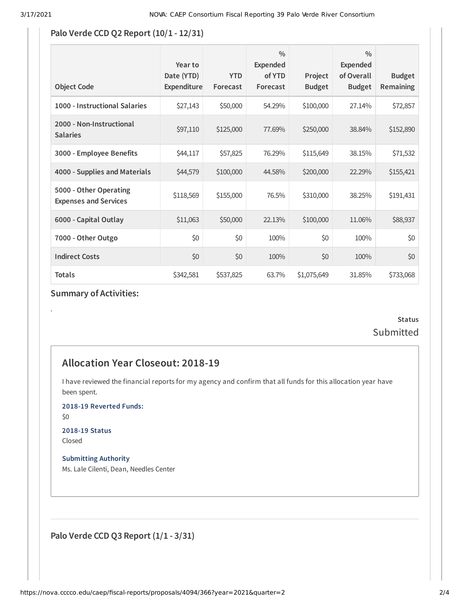#### **Palo Verde CCD Q2 Report (10/1 - 12/31)**

| <b>Object Code</b>                                     | Year to<br>Date (YTD)<br>Expenditure | <b>YTD</b><br>Forecast | $\frac{0}{0}$<br><b>Expended</b><br>of YTD<br>Forecast | Project<br><b>Budget</b> | $\frac{0}{0}$<br><b>Expended</b><br>of Overall<br><b>Budget</b> | <b>Budget</b><br><b>Remaining</b> |
|--------------------------------------------------------|--------------------------------------|------------------------|--------------------------------------------------------|--------------------------|-----------------------------------------------------------------|-----------------------------------|
| 1000 - Instructional Salaries                          | \$27,143                             | \$50,000               | 54.29%                                                 | \$100,000                | 27.14%                                                          | \$72,857                          |
| 2000 - Non-Instructional<br><b>Salaries</b>            | \$97,110                             | \$125,000              | 77.69%                                                 | \$250,000                | 38.84%                                                          | \$152,890                         |
| 3000 - Employee Benefits                               | \$44,117                             | \$57,825               | 76.29%                                                 | \$115,649                | 38.15%                                                          | \$71,532                          |
| 4000 - Supplies and Materials                          | \$44,579                             | \$100,000              | 44.58%                                                 | \$200,000                | 22.29%                                                          | \$155,421                         |
| 5000 - Other Operating<br><b>Expenses and Services</b> | \$118,569                            | \$155,000              | 76.5%                                                  | \$310,000                | 38.25%                                                          | \$191,431                         |
| 6000 - Capital Outlay                                  | \$11,063                             | \$50,000               | 22.13%                                                 | \$100,000                | 11.06%                                                          | \$88,937                          |
| 7000 - Other Outgo                                     | \$0                                  | \$0                    | 100%                                                   | \$0                      | 100%                                                            | \$0                               |
| <b>Indirect Costs</b>                                  | \$0                                  | \$0                    | 100%                                                   | \$0                      | 100%                                                            | \$0                               |
| <b>Totals</b>                                          | \$342,581                            | \$537,825              | 63.7%                                                  | \$1,075,649              | 31.85%                                                          | \$733,068                         |

### **Summary of Activities:**

## **Status Submitted**

## **Allocation Year Closeout: 2018-19**

I have reviewed the financial reports for my agency and confirm that all funds for this allocation year have been spent.

**2018-19 Reverted Funds:**

\$0

.

**2018-19 Status** Closed

**Submitting Authority** Ms. Lale Cilenti, Dean, Needles Center

**Palo Verde CCD Q3 Report (1/1 - 3/31)**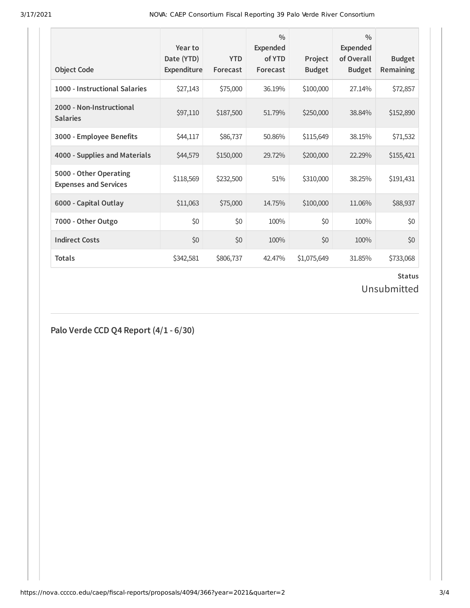3/17/2021 NOVA: CAEP Consortium Fiscal Reporting 39 Palo Verde River Consortium

| <b>Object Code</b>                                     | Year to<br>Date (YTD)<br>Expenditure | <b>YTD</b><br>Forecast | $\frac{0}{0}$<br><b>Expended</b><br>of YTD<br>Forecast | Project<br><b>Budget</b> | $\frac{0}{0}$<br><b>Expended</b><br>of Overall<br><b>Budget</b> | <b>Budget</b><br><b>Remaining</b> |
|--------------------------------------------------------|--------------------------------------|------------------------|--------------------------------------------------------|--------------------------|-----------------------------------------------------------------|-----------------------------------|
| 1000 - Instructional Salaries                          | \$27,143                             | \$75,000               | 36.19%                                                 | \$100,000                | 27.14%                                                          | \$72,857                          |
| 2000 - Non-Instructional<br><b>Salaries</b>            | \$97,110                             | \$187,500              | 51.79%                                                 | \$250,000                | 38.84%                                                          | \$152,890                         |
| 3000 - Employee Benefits                               | \$44,117                             | \$86,737               | 50.86%                                                 | \$115,649                | 38.15%                                                          | \$71,532                          |
| 4000 - Supplies and Materials                          | \$44,579                             | \$150,000              | 29.72%                                                 | \$200,000                | 22.29%                                                          | \$155,421                         |
| 5000 - Other Operating<br><b>Expenses and Services</b> | \$118,569                            | \$232,500              | 51%                                                    | \$310,000                | 38.25%                                                          | \$191,431                         |
| 6000 - Capital Outlay                                  | \$11,063                             | \$75,000               | 14.75%                                                 | \$100,000                | 11.06%                                                          | \$88,937                          |
| 7000 - Other Outgo                                     | \$0                                  | \$0                    | 100%                                                   | \$0                      | 100%                                                            | \$0                               |
| <b>Indirect Costs</b>                                  | \$0                                  | \$0                    | 100%                                                   | \$0                      | 100%                                                            | \$0                               |
| <b>Totals</b>                                          | \$342,581                            | \$806,737              | 42.47%                                                 | \$1,075,649              | 31.85%                                                          | \$733,068                         |

## **Status**

## Unsubmitted

**Palo Verde CCD Q4 Report (4/1 - 6/30)**